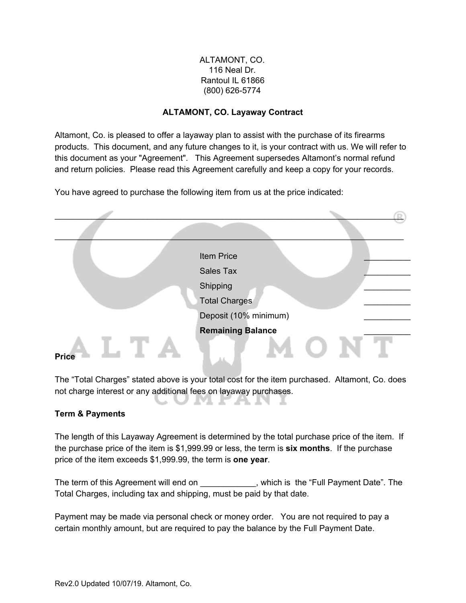### ALTAMONT, CO. 116 Neal Dr. Rantoul IL 61866 (800) 626-5774

### **ALTAMONT, CO. Layaway Contract**

Altamont, Co. is pleased to offer a layaway plan to assist with the purchase of its firearms products. This document, and any future changes to it, is your contract with us. We will refer to this document as your "Agreement". This Agreement supersedes Altamont's normal refund and return policies. Please read this Agreement carefully and keep a copy for your records.

You have agreed to purchase the following item from us at the price indicated:

|              | Item Price               |  |
|--------------|--------------------------|--|
|              | Sales Tax                |  |
|              | Shipping                 |  |
|              | <b>Total Charges</b>     |  |
|              | Deposit (10% minimum)    |  |
|              | <b>Remaining Balance</b> |  |
| <b>Price</b> |                          |  |

The "Total Charges" stated above is your total cost for the item purchased. Altamont, Co. does not charge interest or any additional fees on layaway purchases.

UMFAN

u.

## **Term & Payments**

The length of this Layaway Agreement is determined by the total purchase price of the item. If the purchase price of the item is \$1,999.99 or less, the term is **six months**. If the purchase price of the item exceeds \$1,999.99, the term is **one year**.

The term of this Agreement will end on \_\_\_\_\_\_\_\_\_\_\_, which is the "Full Payment Date". The Total Charges, including tax and shipping, must be paid by that date.

Payment may be made via personal check or money order. You are not required to pay a certain monthly amount, but are required to pay the balance by the Full Payment Date.